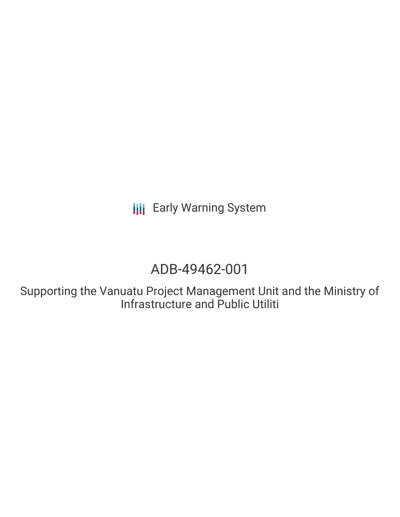**III** Early Warning System

# ADB-49462-001

Supporting the Vanuatu Project Management Unit and the Ministry of Infrastructure and Public Utiliti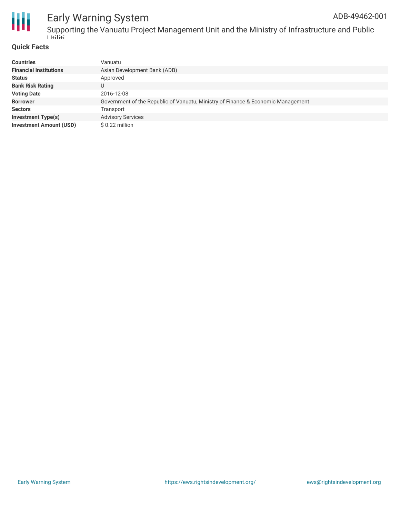

### Early Warning System ADB-49462-001

Supporting the Vanuatu Project Management Unit and the Ministry of Infrastructure and Public Utiliti

### **Quick Facts**

| <b>Countries</b>               | Vanuatu                                                                          |
|--------------------------------|----------------------------------------------------------------------------------|
| <b>Financial Institutions</b>  | Asian Development Bank (ADB)                                                     |
| <b>Status</b>                  | Approved                                                                         |
| <b>Bank Risk Rating</b>        | U                                                                                |
| <b>Voting Date</b>             | 2016-12-08                                                                       |
| <b>Borrower</b>                | Government of the Republic of Vanuatu, Ministry of Finance & Economic Management |
| <b>Sectors</b>                 | Transport                                                                        |
| <b>Investment Type(s)</b>      | <b>Advisory Services</b>                                                         |
| <b>Investment Amount (USD)</b> | $$0.22$ million                                                                  |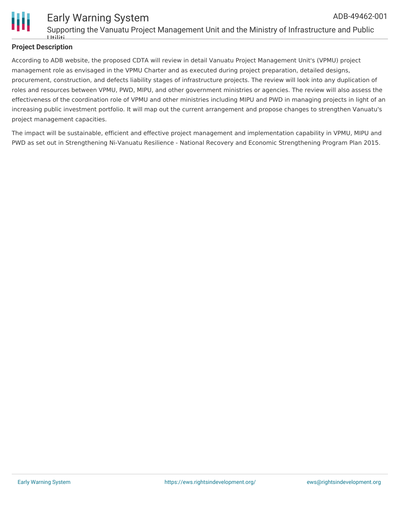

### **Project Description**

According to ADB website, the proposed CDTA will review in detail Vanuatu Project Management Unit's (VPMU) project management role as envisaged in the VPMU Charter and as executed during project preparation, detailed designs, procurement, construction, and defects liability stages of infrastructure projects. The review will look into any duplication of roles and resources between VPMU, PWD, MIPU, and other government ministries or agencies. The review will also assess the effectiveness of the coordination role of VPMU and other ministries including MIPU and PWD in managing projects in light of an increasing public investment portfolio. It will map out the current arrangement and propose changes to strengthen Vanuatu's project management capacities.

The impact will be sustainable, efficient and effective project management and implementation capability in VPMU, MIPU and PWD as set out in Strengthening Ni-Vanuatu Resilience - National Recovery and Economic Strengthening Program Plan 2015.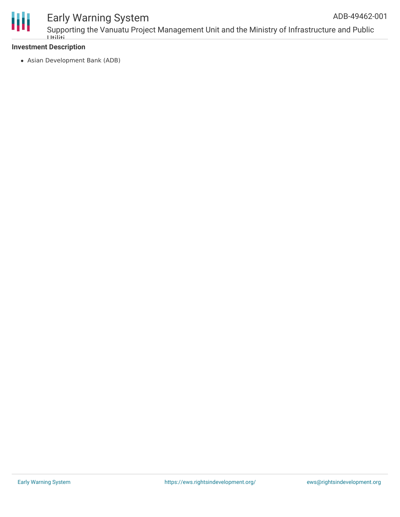

## Early Warning System

### **Investment Description**

Asian Development Bank (ADB)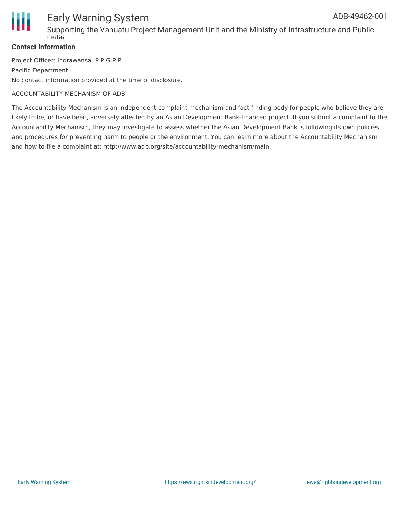

## Early Warning System

Supporting the Vanuatu Project Management Unit and the Ministry of Infrastructure and Public Utiliti

### **Contact Information**

Project Officer: Indrawansa, P.P.G.P.P. Pacific Department No contact information provided at the time of disclosure.

### ACCOUNTABILITY MECHANISM OF ADB

The Accountability Mechanism is an independent complaint mechanism and fact-finding body for people who believe they are likely to be, or have been, adversely affected by an Asian Development Bank-financed project. If you submit a complaint to the Accountability Mechanism, they may investigate to assess whether the Asian Development Bank is following its own policies and procedures for preventing harm to people or the environment. You can learn more about the Accountability Mechanism and how to file a complaint at: http://www.adb.org/site/accountability-mechanism/main